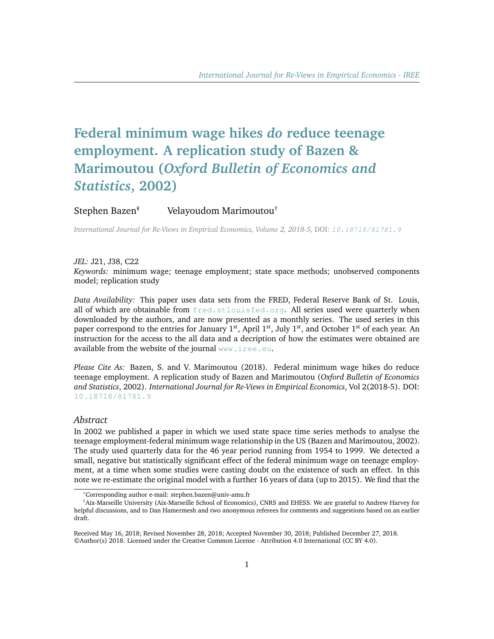# **Federal minimum wage hikes** *do* **reduce teenage employment. A replication study of Bazen & Marimoutou (***Oxford Bulletin of Economics and Statistics***, 2002)**

# Stephen Bazen<sup>\*</sup> Velayoudom Marimoutou<sup>†</sup>

*International Journal for Re-Views in Empirical Economics, Volume 2, 2018-5,* DOI: [10.18718/81781.9](https://doi.org/10.18718/81781.9)

#### *JEL:* J21, J38, C22

*Keywords:* minimum wage; teenage employment; state space methods; unobserved components model; replication study

*Data Availability:* This paper uses data sets from the FRED, Federal Reserve Bank of St. Louis, all of which are obtainable from [fred.stlouisfed.org](https://fred.stlouisfed.org). All series used were quarterly when downloaded by the authors, and are now presented as a monthly series. The used series in this paper correspond to the entries for January 1<sup>st</sup>, April 1<sup>st</sup>, July 1<sup>st</sup>, and October 1<sup>st</sup> of each year. An instruction for the access to the all data and a decription of how the estimates were obtained are available from the website of the journal <www.iree.eu>.

*Please Cite As:* Bazen, S. and V. Marimoutou (2018). Federal minimum wage hikes do reduce teenage employment. A replication study of Bazen and Marimoutou (*Oxford Bulletin of Economics and Statistics*, 2002). *International Journal for Re-Views in Empirical Economics*, Vol 2(2018-5). DOI: [10.18718/81781.9](https://doi.org/10.18718/81781.9)

#### *Abstract*

In 2002 we published a paper in which we used state space time series methods to analyse the teenage employment-federal minimum wage relationship in the US (Bazen and Marimoutou, 2002). The study used quarterly data for the 46 year period running from 1954 to 1999. We detected a small, negative but statistically significant effect of the federal minimum wage on teenage employment, at a time when some studies were casting doubt on the existence of such an effect. In this note we re-estimate the original model with a further 16 years of data (up to 2015). We find that the

<sup>\*</sup>Corresponding author e-mail: stephen.bazen@univ-amu.fr

<sup>†</sup>Aix-Marseille University (Aix-Marseille School of Economics), CNRS and EHESS. We are grateful to Andrew Harvey for helpful discussions, and to Dan Hamermesh and two anonymous referees for comments and suggestions based on an earlier draft.

Received May 16, 2018; Revised November 28, 2018; Accepted November 30, 2018; Published December 27, 2018. ©Author(s) 2018. Licensed under the Creative Common License - Attribution 4.0 International (CC BY 4.0).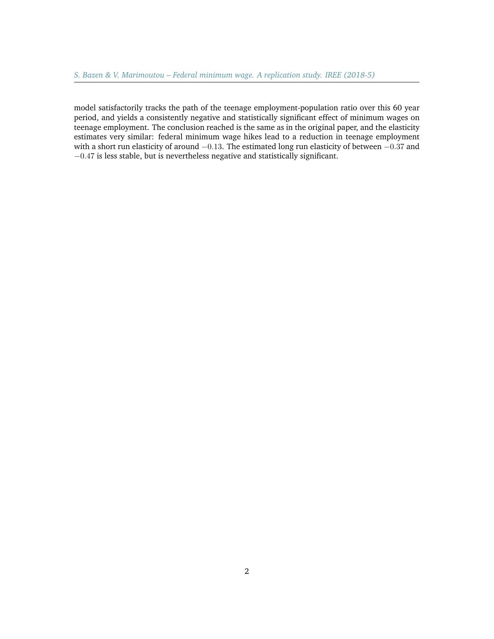model satisfactorily tracks the path of the teenage employment-population ratio over this 60 year period, and yields a consistently negative and statistically significant effect of minimum wages on teenage employment. The conclusion reached is the same as in the original paper, and the elasticity estimates very similar: federal minimum wage hikes lead to a reduction in teenage employment with a short run elasticity of around −0.13. The estimated long run elasticity of between −0.37 and −0.47 is less stable, but is nevertheless negative and statistically significant.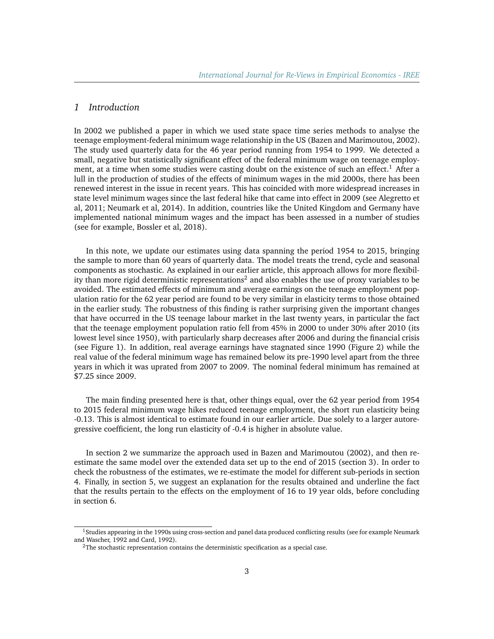## *1 Introduction*

In 2002 we published a paper in which we used state space time series methods to analyse the teenage employment-federal minimum wage relationship in the US (Bazen and Marimoutou, 2002). The study used quarterly data for the 46 year period running from 1954 to 1999. We detected a small, negative but statistically significant effect of the federal minimum wage on teenage employ-ment, at a time when some studies were casting doubt on the existence of such an effect.<sup>[1](#page-2-0)</sup> After a lull in the production of studies of the effects of minimum wages in the mid 2000s, there has been renewed interest in the issue in recent years. This has coincided with more widespread increases in state level minimum wages since the last federal hike that came into effect in 2009 (see Alegretto et al, 2011; Neumark et al, 2014). In addition, countries like the United Kingdom and Germany have implemented national minimum wages and the impact has been assessed in a number of studies (see for example, Bossler et al, 2018).

In this note, we update our estimates using data spanning the period 1954 to 2015, bringing the sample to more than 60 years of quarterly data. The model treats the trend, cycle and seasonal components as stochastic. As explained in our earlier article, this approach allows for more flexibil-ity than more rigid deterministic representations<sup>[2](#page-2-1)</sup> and also enables the use of proxy variables to be avoided. The estimated effects of minimum and average earnings on the teenage employment population ratio for the 62 year period are found to be very similar in elasticity terms to those obtained in the earlier study. The robustness of this finding is rather surprising given the important changes that have occurred in the US teenage labour market in the last twenty years, in particular the fact that the teenage employment population ratio fell from 45% in 2000 to under 30% after 2010 (its lowest level since 1950), with particularly sharp decreases after 2006 and during the financial crisis (see Figure [1\)](#page-10-0). In addition, real average earnings have stagnated since 1990 (Figure [2\)](#page-11-0) while the real value of the federal minimum wage has remained below its pre-1990 level apart from the three years in which it was uprated from 2007 to 2009. The nominal federal minimum has remained at \$7.25 since 2009.

The main finding presented here is that, other things equal, over the 62 year period from 1954 to 2015 federal minimum wage hikes reduced teenage employment, the short run elasticity being -0.13. This is almost identical to estimate found in our earlier article. Due solely to a larger autoregressive coefficient, the long run elasticity of -0.4 is higher in absolute value.

In section [2](#page-3-0) we summarize the approach used in Bazen and Marimoutou (2002), and then reestimate the same model over the extended data set up to the end of 2015 (section [3\)](#page-4-0). In order to check the robustness of the estimates, we re-estimate the model for different sub-periods in section [4.](#page-4-1) Finally, in section [5,](#page-5-0) we suggest an explanation for the results obtained and underline the fact that the results pertain to the effects on the employment of 16 to 19 year olds, before concluding in section [6.](#page-6-0)

<span id="page-2-0"></span><sup>&</sup>lt;sup>1</sup> Studies appearing in the 1990s using cross-section and panel data produced conflicting results (see for example Neumark and Wascher, 1992 and Card, 1992).

<span id="page-2-1"></span><sup>&</sup>lt;sup>2</sup>The stochastic representation contains the deterministic specification as a special case.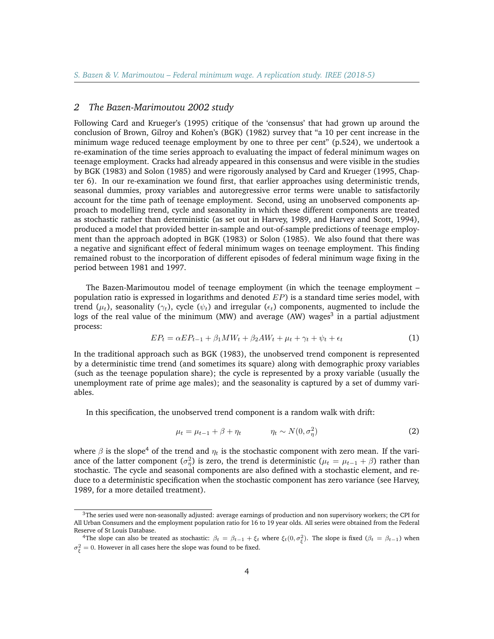#### <span id="page-3-0"></span>*2 The Bazen-Marimoutou 2002 study*

Following Card and Krueger's (1995) critique of the 'consensus' that had grown up around the conclusion of Brown, Gilroy and Kohen's (BGK) (1982) survey that "a 10 per cent increase in the minimum wage reduced teenage employment by one to three per cent" (p.524), we undertook a re-examination of the time series approach to evaluating the impact of federal minimum wages on teenage employment. Cracks had already appeared in this consensus and were visible in the studies by BGK (1983) and Solon (1985) and were rigorously analysed by Card and Krueger (1995, Chapter 6). In our re-examination we found first, that earlier approaches using deterministic trends, seasonal dummies, proxy variables and autoregressive error terms were unable to satisfactorily account for the time path of teenage employment. Second, using an unobserved components approach to modelling trend, cycle and seasonality in which these different components are treated as stochastic rather than deterministic (as set out in Harvey, 1989, and Harvey and Scott, 1994), produced a model that provided better in-sample and out-of-sample predictions of teenage employment than the approach adopted in BGK (1983) or Solon (1985). We also found that there was a negative and significant effect of federal minimum wages on teenage employment. This finding remained robust to the incorporation of different episodes of federal minimum wage fixing in the period between 1981 and 1997.

The Bazen-Marimoutou model of teenage employment (in which the teenage employment – population ratio is expressed in logarithms and denoted  $EP$ ) is a standard time series model, with trend ( $\mu_t$ ), seasonality ( $\gamma_t$ ), cycle ( $\psi_t$ ) and irregular ( $\epsilon_t$ ) components, augmented to include the logs of the real value of the minimum (MW) and average (AW) wages<sup>[3](#page-3-1)</sup> in a partial adjustment process:

$$
EP_t = \alpha EP_{t-1} + \beta_1 MW_t + \beta_2 AW_t + \mu_t + \gamma_t + \psi_t + \epsilon_t \tag{1}
$$

In the traditional approach such as BGK (1983), the unobserved trend component is represented by a deterministic time trend (and sometimes its square) along with demographic proxy variables (such as the teenage population share); the cycle is represented by a proxy variable (usually the unemployment rate of prime age males); and the seasonality is captured by a set of dummy variables.

In this specification, the unobserved trend component is a random walk with drift:

$$
\mu_t = \mu_{t-1} + \beta + \eta_t \qquad \eta_t \sim N(0, \sigma_\eta^2)
$$
 (2)

where  $\beta$  is the slope<sup>[4](#page-3-2)</sup> of the trend and  $\eta_t$  is the stochastic component with zero mean. If the variance of the latter component  $(\sigma_{\eta}^2)$  is zero, the trend is deterministic  $(\mu_t = \mu_{t-1} + \beta)$  rather than stochastic. The cycle and seasonal components are also defined with a stochastic element, and reduce to a deterministic specification when the stochastic component has zero variance (see Harvey, 1989, for a more detailed treatment).

<span id="page-3-1"></span><sup>&</sup>lt;sup>3</sup>The series used were non-seasonally adjusted: average earnings of production and non supervisory workers; the CPI for All Urban Consumers and the employment population ratio for 16 to 19 year olds. All series were obtained from the Federal Reserve of St Louis Database.

<span id="page-3-2"></span><sup>&</sup>lt;sup>4</sup>The slope can also be treated as stochastic:  $\beta_t = \beta_{t-1} + \xi_t$  where  $\xi_t(0, \sigma_{\xi}^2)$ . The slope is fixed  $(\beta_t = \beta_{t-1})$  when  $\sigma_{\xi}^2 = 0$ . However in all cases here the slope was found to be fixed.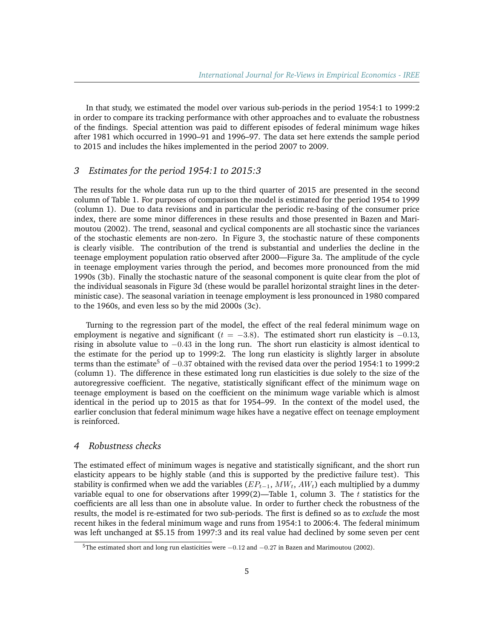In that study, we estimated the model over various sub-periods in the period 1954:1 to 1999:2 in order to compare its tracking performance with other approaches and to evaluate the robustness of the findings. Special attention was paid to different episodes of federal minimum wage hikes after 1981 which occurred in 1990–91 and 1996–97. The data set here extends the sample period to 2015 and includes the hikes implemented in the period 2007 to 2009.

## <span id="page-4-0"></span>*3 Estimates for the period 1954:1 to 2015:3*

The results for the whole data run up to the third quarter of 2015 are presented in the second column of Table [1.](#page-9-0) For purposes of comparison the model is estimated for the period 1954 to 1999 (column 1). Due to data revisions and in particular the periodic re-basing of the consumer price index, there are some minor differences in these results and those presented in Bazen and Marimoutou (2002). The trend, seasonal and cyclical components are all stochastic since the variances of the stochastic elements are non-zero. In Figure [3,](#page-12-0) the stochastic nature of these components is clearly visible. The contribution of the trend is substantial and underlies the decline in the teenage employment population ratio observed after 2000—Figure [3a.](#page-12-0) The amplitude of the cycle in teenage employment varies through the period, and becomes more pronounced from the mid 1990s [\(3b\)](#page-12-0). Finally the stochastic nature of the seasonal component is quite clear from the plot of the individual seasonals in Figure [3d](#page-12-0) (these would be parallel horizontal straight lines in the deterministic case). The seasonal variation in teenage employment is less pronounced in 1980 compared to the 1960s, and even less so by the mid 2000s [\(3c\)](#page-12-0).

Turning to the regression part of the model, the effect of the real federal minimum wage on employment is negative and significant ( $t = -3.8$ ). The estimated short run elasticity is  $-0.13$ , rising in absolute value to −0.43 in the long run. The short run elasticity is almost identical to the estimate for the period up to 1999:2. The long run elasticity is slightly larger in absolute terms than the estimate<sup>[5](#page-4-2)</sup> of  $-0.37$  obtained with the revised data over the period 1954:1 to 1999:2 (column 1). The difference in these estimated long run elasticities is due solely to the size of the autoregressive coefficient. The negative, statistically significant effect of the minimum wage on teenage employment is based on the coefficient on the minimum wage variable which is almost identical in the period up to 2015 as that for 1954–99. In the context of the model used, the earlier conclusion that federal minimum wage hikes have a negative effect on teenage employment is reinforced.

### <span id="page-4-1"></span>*4 Robustness checks*

The estimated effect of minimum wages is negative and statistically significant, and the short run elasticity appears to be highly stable (and this is supported by the predictive failure test). This stability is confirmed when we add the variables  $(EP_{t-1}, MW_t, AW_t)$  each multiplied by a dummy variable equal to one for observations after 1999(2)—Table [1,](#page-9-0) column 3. The  $t$  statistics for the coefficients are all less than one in absolute value. In order to further check the robustness of the results, the model is re-estimated for two sub-periods. The first is defined so as to *exclude* the most recent hikes in the federal minimum wage and runs from 1954:1 to 2006:4. The federal minimum was left unchanged at \$5.15 from 1997:3 and its real value had declined by some seven per cent

<span id="page-4-2"></span> $5$ The estimated short and long run elasticities were  $-0.12$  and  $-0.27$  in Bazen and Marimoutou (2002).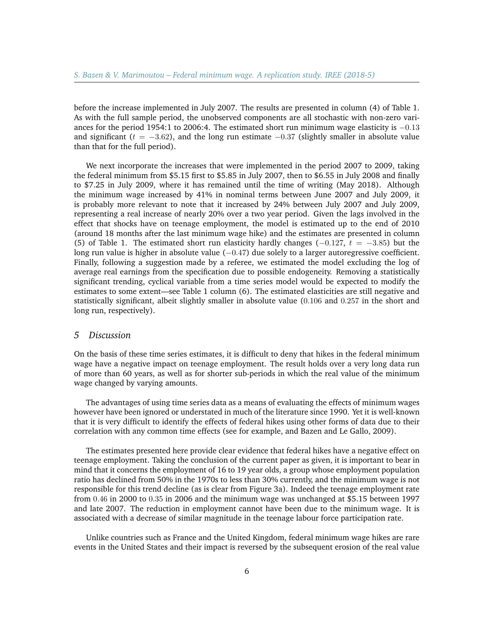before the increase implemented in July 2007. The results are presented in column (4) of Table [1.](#page-9-0) As with the full sample period, the unobserved components are all stochastic with non-zero variances for the period 1954:1 to 2006:4. The estimated short run minimum wage elasticity is −0.13 and significant ( $t = -3.62$ ), and the long run estimate  $-0.37$  (slightly smaller in absolute value than that for the full period).

We next incorporate the increases that were implemented in the period 2007 to 2009, taking the federal minimum from \$5.15 first to \$5.85 in July 2007, then to \$6.55 in July 2008 and finally to \$7.25 in July 2009, where it has remained until the time of writing (May 2018). Although the minimum wage increased by 41% in nominal terms between June 2007 and July 2009, it is probably more relevant to note that it increased by 24% between July 2007 and July 2009, representing a real increase of nearly 20% over a two year period. Given the lags involved in the effect that shocks have on teenage employment, the model is estimated up to the end of 2010 (around 18 months after the last minimum wage hike) and the estimates are presented in column (5) of Table [1.](#page-9-0) The estimated short run elasticity hardly changes ( $-0.127$ ,  $t = -3.85$ ) but the long run value is higher in absolute value (-0.47) due solely to a larger autoregressive coefficient. Finally, following a suggestion made by a referee, we estimated the model excluding the log of average real earnings from the specification due to possible endogeneity. Removing a statistically significant trending, cyclical variable from a time series model would be expected to modify the estimates to some extent—see Table [1](#page-9-0) column (6). The estimated elasticities are still negative and statistically significant, albeit slightly smaller in absolute value (0.106 and 0.257 in the short and long run, respectively).

#### <span id="page-5-0"></span>*5 Discussion*

On the basis of these time series estimates, it is difficult to deny that hikes in the federal minimum wage have a negative impact on teenage employment. The result holds over a very long data run of more than 60 years, as well as for shorter sub-periods in which the real value of the minimum wage changed by varying amounts.

The advantages of using time series data as a means of evaluating the effects of minimum wages however have been ignored or understated in much of the literature since 1990. Yet it is well-known that it is very difficult to identify the effects of federal hikes using other forms of data due to their correlation with any common time effects (see for example, and Bazen and Le Gallo, 2009).

The estimates presented here provide clear evidence that federal hikes have a negative effect on teenage employment. Taking the conclusion of the current paper as given, it is important to bear in mind that it concerns the employment of 16 to 19 year olds, a group whose employment population ratio has declined from 50% in the 1970s to less than 30% currently, and the minimum wage is not responsible for this trend decline (as is clear from Figure [3a\)](#page-12-0). Indeed the teenage employment rate from 0.46 in 2000 to 0.35 in 2006 and the minimum wage was unchanged at \$5.15 between 1997 and late 2007. The reduction in employment cannot have been due to the minimum wage. It is associated with a decrease of similar magnitude in the teenage labour force participation rate.

Unlike countries such as France and the United Kingdom, federal minimum wage hikes are rare events in the United States and their impact is reversed by the subsequent erosion of the real value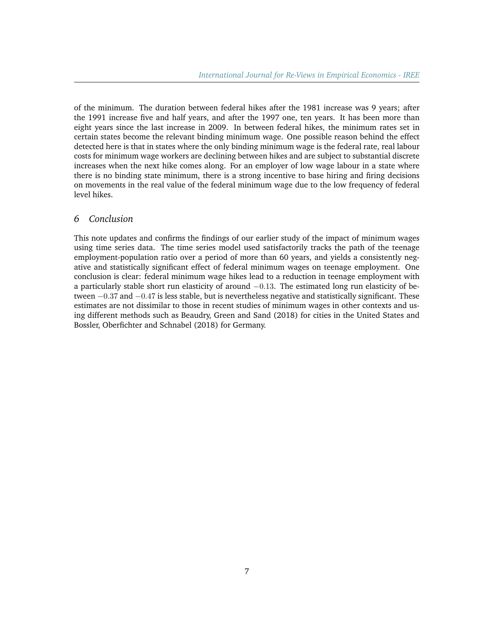of the minimum. The duration between federal hikes after the 1981 increase was 9 years; after the 1991 increase five and half years, and after the 1997 one, ten years. It has been more than eight years since the last increase in 2009. In between federal hikes, the minimum rates set in certain states become the relevant binding minimum wage. One possible reason behind the effect detected here is that in states where the only binding minimum wage is the federal rate, real labour costs for minimum wage workers are declining between hikes and are subject to substantial discrete increases when the next hike comes along. For an employer of low wage labour in a state where there is no binding state minimum, there is a strong incentive to base hiring and firing decisions on movements in the real value of the federal minimum wage due to the low frequency of federal level hikes.

## <span id="page-6-0"></span>*6 Conclusion*

This note updates and confirms the findings of our earlier study of the impact of minimum wages using time series data. The time series model used satisfactorily tracks the path of the teenage employment-population ratio over a period of more than 60 years, and yields a consistently negative and statistically significant effect of federal minimum wages on teenage employment. One conclusion is clear: federal minimum wage hikes lead to a reduction in teenage employment with a particularly stable short run elasticity of around −0.13. The estimated long run elasticity of between −0.37 and −0.47 is less stable, but is nevertheless negative and statistically significant. These estimates are not dissimilar to those in recent studies of minimum wages in other contexts and using different methods such as Beaudry, Green and Sand (2018) for cities in the United States and Bossler, Oberfichter and Schnabel (2018) for Germany.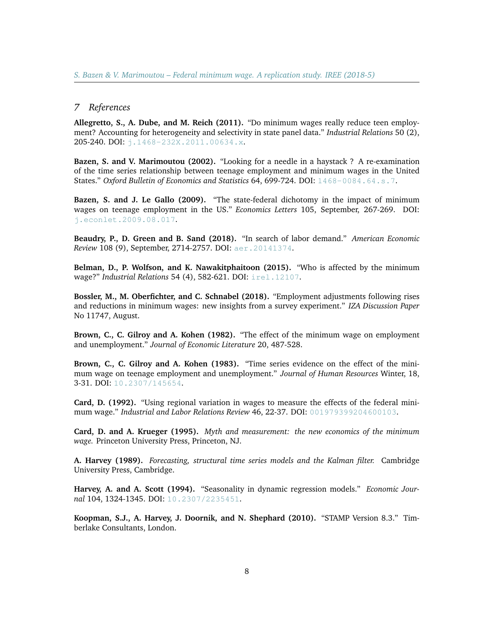## *7 References*

**Allegretto, S., A. Dube, and M. Reich (2011).** "Do minimum wages really reduce teen employment? Accounting for heterogeneity and selectivity in state panel data." *Industrial Relations* 50 (2), 205-240. DOI: [j.1468-232X.2011.00634.x](https://doi.org/10.1111/j.1468-232X.2011.00634.x).

**Bazen, S. and V. Marimoutou (2002).** "Looking for a needle in a haystack ? A re-examination of the time series relationship between teenage employment and minimum wages in the United States." *Oxford Bulletin of Economics and Statistics* 64, 699-724. DOI: [1468-0084.64.s.7](https://doi.org/10.1111/1468-0084.64.s.7).

**Bazen, S. and J. Le Gallo (2009).** "The state-federal dichotomy in the impact of minimum wages on teenage employment in the US." *Economics Letters* 105, September, 267-269. DOI: [j.econlet.2009.08.017](http://dx.doi.org/10.1016/j.econlet.2009.08.017).

**Beaudry, P., D. Green and B. Sand (2018).** "In search of labor demand." *American Economic Review* 108 (9), September, 2714-2757. DOI: [aer.20141374](http:// doi.or/10.1257/aer.20141374).

**Belman, D., P. Wolfson, and K. Nawakitphaitoon (2015).** "Who is affected by the minimum wage?" *Industrial Relations* 54 (4), 582-621. DOI: [irel.12107](https://doi.org/10.1111/irel.12107).

**Bossler, M., M. Oberfichter, and C. Schnabel (2018).** "Employment adjustments following rises and reductions in minimum wages: new insights from a survey experiment." *IZA Discussion Paper* No 11747, August.

**Brown, C., C. Gilroy and A. Kohen (1982).** "The effect of the minimum wage on employment and unemployment." *Journal of Economic Literature* 20, 487-528.

**Brown, C., C. Gilroy and A. Kohen (1983).** "Time series evidence on the effect of the minimum wage on teenage employment and unemployment." *Journal of Human Resources* Winter, 18, 3-31. DOI: [10.2307/145654](https://doi.org/10.2307/145654).

**Card, D. (1992).** "Using regional variation in wages to measure the effects of the federal minimum wage." *Industrial and Labor Relations Review* 46, 22-37. DOI: [001979399204600103](https://doi.org/10.1177/001979399204600103).

**Card, D. and A. Krueger (1995).** *Myth and measurement: the new economics of the minimum wage.* Princeton University Press, Princeton, NJ.

**A. Harvey (1989).** *Forecasting, structural time series models and the Kalman filter.* Cambridge University Press, Cambridge.

**Harvey, A. and A. Scott (1994).** "Seasonality in dynamic regression models." *Economic Journal* 104, 1324-1345. DOI: [10.2307/2235451](http://dx.doi.org/10.2307/2235451).

**Koopman, S.J., A. Harvey, J. Doornik, and N. Shephard (2010).** "STAMP Version 8.3." Timberlake Consultants, London.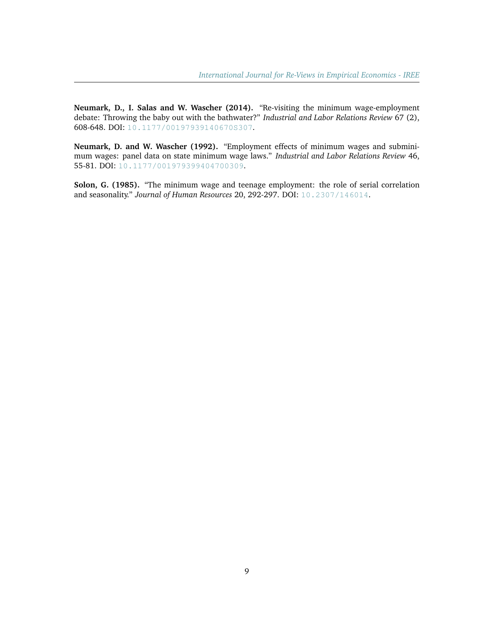**Neumark, D., I. Salas and W. Wascher (2014).** "Re-visiting the minimum wage-employment debate: Throwing the baby out with the bathwater?" *Industrial and Labor Relations Review* 67 (2), 608-648. DOI: [10.1177/00197939140670S307](https://doi.org/10.1177/00197939140670S307).

**Neumark, D. and W. Wascher (1992).** "Employment effects of minimum wages and subminimum wages: panel data on state minimum wage laws." *Industrial and Labor Relations Review* 46, 55-81. DOI: [10.1177/001979399404700309](https://doi.org/10.1177/001979399404700309).

**Solon, G. (1985).** "The minimum wage and teenage employment: the role of serial correlation and seasonality." *Journal of Human Resources* 20, 292-297. DOI: [10.2307/146014](https://doi.org/10.2307/146014).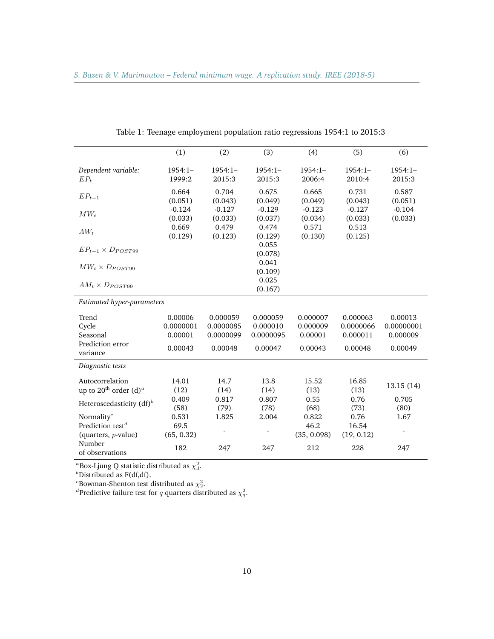<span id="page-9-0"></span>

|                                           | (1)                 | (2)                 | (3)                       | (4)                 | (5)                 | (6)                 |  |  |  |  |
|-------------------------------------------|---------------------|---------------------|---------------------------|---------------------|---------------------|---------------------|--|--|--|--|
| Dependent variable:<br>$EP_t$             | $1954:1-$<br>1999:2 | 1954:1-<br>2015:3   | $1954:1-$<br>2015:3       | $1954:1-$<br>2006:4 | $1954:1-$<br>2010:4 | $1954:1-$<br>2015:3 |  |  |  |  |
| $EP_{t-1}$                                | 0.664<br>(0.051)    | 0.704<br>(0.043)    | 0.675<br>(0.049)          | 0.665<br>(0.049)    | 0.731<br>(0.043)    | 0.587<br>(0.051)    |  |  |  |  |
| $MW_t$                                    | $-0.124$<br>(0.033) | $-0.127$<br>(0.033) | $-0.129$<br>(0.037)       | $-0.123$<br>(0.034) | $-0.127$<br>(0.033) | $-0.104$<br>(0.033) |  |  |  |  |
| $AW_t$                                    | 0.669<br>(0.129)    | 0.479<br>(0.123)    | 0.474<br>(0.129)          | 0.571<br>(0.130)    | 0.513<br>(0.125)    |                     |  |  |  |  |
| $EP_{t-1} \times D_{POST99}$              |                     |                     | 0.055<br>(0.078)<br>0.041 |                     |                     |                     |  |  |  |  |
| $MW_t \times D_{POST99}$                  |                     |                     | (0.109)                   |                     |                     |                     |  |  |  |  |
| $AM_t \times D_{POST99}$                  |                     |                     | 0.025<br>(0.167)          |                     |                     |                     |  |  |  |  |
| Estimated hyper-parameters                |                     |                     |                           |                     |                     |                     |  |  |  |  |
| Trend                                     | 0.00006             | 0.000059            | 0.000059                  | 0.000007            | 0.000063            | 0.00013             |  |  |  |  |
| Cycle                                     | 0.0000001           | 0.0000085           | 0.000010                  | 0.000009            | 0.0000066           | 0.00000001          |  |  |  |  |
| Seasonal                                  | 0.00001             | 0.0000099           | 0.0000095                 | 0.00001             | 0.000011            | 0.000009            |  |  |  |  |
| Prediction error<br>variance              | 0.00043             | 0.00048             | 0.00047                   | 0.00043             | 0.00048             | 0.00049             |  |  |  |  |
| Diagnostic tests                          |                     |                     |                           |                     |                     |                     |  |  |  |  |
| Autocorrelation                           | 14.01               | 14.7                | 13.8                      | 15.52               | 16.85               | 13.15(14)           |  |  |  |  |
| up to $20^{\text{th}}$ order $(d)^a$      | (12)                | (14)                | (14)                      | (13)                | (13)                |                     |  |  |  |  |
| Heteroscedasticity $(df)^b$               | 0.409               | 0.817               | 0.807                     | 0.55                | 0.76                | 0.705               |  |  |  |  |
|                                           | (58)                | (79)                | (78)                      | (68)                | (73)                | (80)                |  |  |  |  |
| Normality <sup>c</sup>                    | 0.531               | 1.825               | 2.004                     | 0.822               | 0.76                | 1.67                |  |  |  |  |
| Prediction test <sup><math>d</math></sup> | 69.5                |                     |                           | 46.2                | 16.54               |                     |  |  |  |  |
| (quarters, $p$ -value)<br>Number          | (65, 0.32)          |                     |                           | (35, 0.098)         | (19, 0.12)          |                     |  |  |  |  |
| of observations                           | 182                 | 247                 | 247                       | 212                 | 228                 | 247                 |  |  |  |  |

| Table 1: Teenage employment population ratio regressions 1954:1 to 2015:3 |  |  |  |
|---------------------------------------------------------------------------|--|--|--|
|                                                                           |  |  |  |
|                                                                           |  |  |  |
|                                                                           |  |  |  |

<sup>a</sup>Box-Ljung Q statistic distributed as  $\chi^2_d$ .

 $<sup>b</sup>$ Distributed as F(df,df).</sup>

<sup>*c*</sup>Bowman-Shenton test distributed as  $\chi^2$ .<br><sup>*d*</sup>Predictive failure test for *q* quarters distributed as  $\chi^2$ .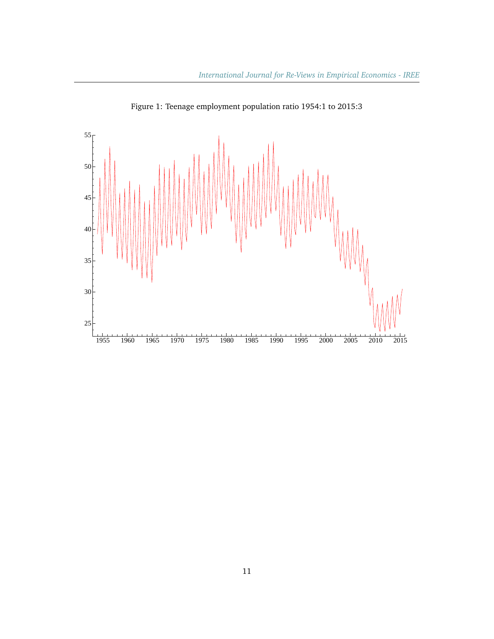<span id="page-10-0"></span>

Figure 1: Teenage employment population ratio 1954:1 to 2015:3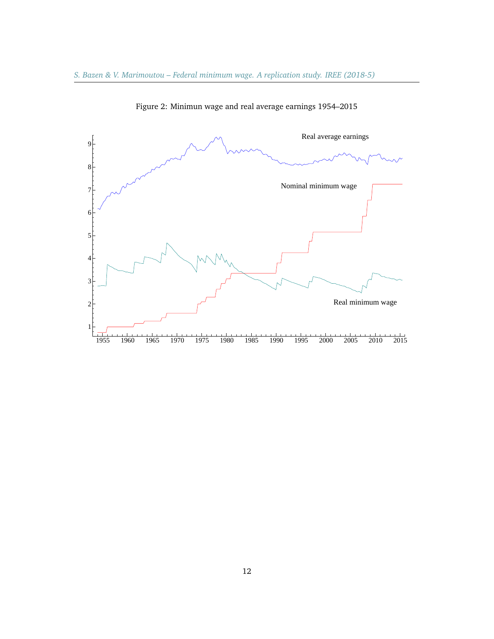<span id="page-11-0"></span>

Figure 2: Minimun wage and real average earnings 1954–2015